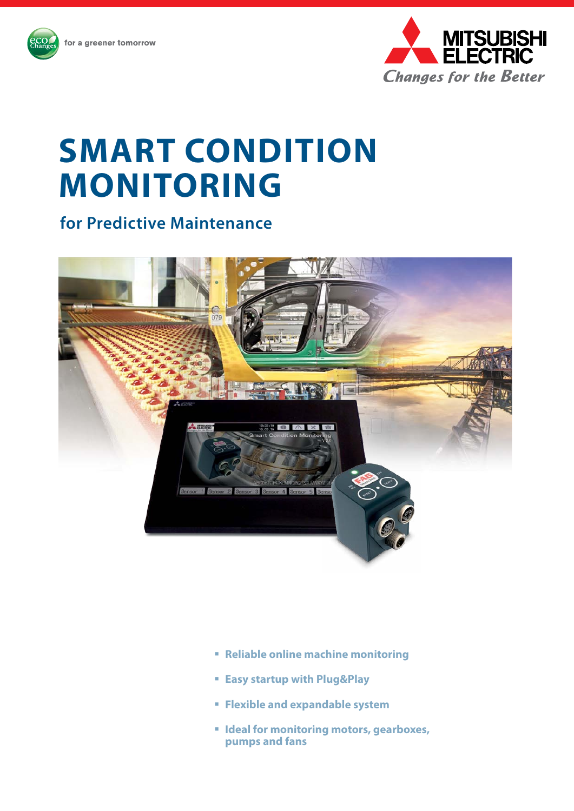

# **SMART CONDITION Monitoring**

**for Predictive Maintenance**



- **Reliable online machine monitoring**
- **Easy startup with Plug&Play**
- **Flexible and expandable system**
- $\blacksquare$  **Ideal for monitoring motors, gearboxes, pumps and fans**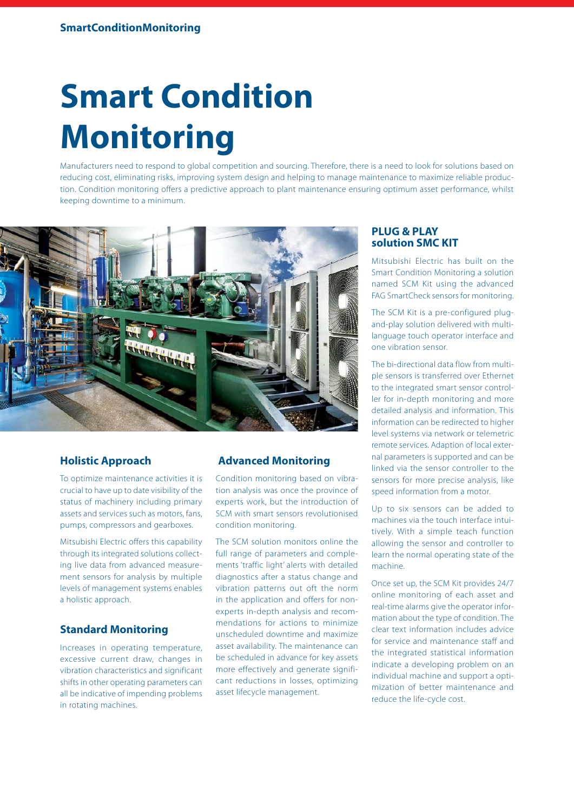# **Smart Condition Monitoring**

Manufacturers need to respond to global competition and sourcing. Therefore, there is a need to look for solutions based on reducing cost, eliminating risks, improving system design and helping to manage maintenance to maximize reliable production. Condition monitoring offers a predictive approach to plant maintenance ensuring optimum asset performance, whilst keeping downtime to a minimum.



## **Holistic Approach**

To optimize maintenance activities it is crucial to have up to date visibility of the status of machinery including primary assets and services such as motors, fans, pumps, compressors and gearboxes.

Mitsubishi Electric offers this capability through its integrated solutions collecting live data from advanced measurement sensors for analysis by multiple levels of management systems enables a holistic approach.

# **Standard Monitoring**

Increases in operating temperature, excessive current draw, changes in vibration characteristics and significant shifts in other operating parameters can all be indicative of impending problems in rotating machines.

## **Advanced Monitoring**

Condition monitoring based on vibration analysis was once the province of experts work, but the introduction of SCM with smart sensors revolutionised condition monitoring.

The SCM solution monitors online the full range of parameters and complements 'traffic light' alerts with detailed diagnostics after a status change and vibration patterns out oft the norm in the application and offers for nonexperts in-depth analysis and recommendations for actions to minimize unscheduled downtime and maximize asset availability. The maintenance can be scheduled in advance for key assets more effectively and generate significant reductions in losses, optimizing asset lifecycle management.

#### **PLUG & PLAY solution SMC KIT**

Mitsubishi Electric has built on the Smart Condition Monitoring a solution named SCM Kit using the advanced FAG SmartCheck sensors for monitoring.

The SCM Kit is a pre-configured plugand-play solution delivered with multilanguage touch operator interface and one vibration sensor.

The bi-directional data flow from multiple sensors is transferred over Ethernet to the integrated smart sensor controller for in-depth monitoring and more detailed analysis and information. This information can be redirected to higher level systems via network or telemetric remote services. Adaption of local external parameters is supported and can be linked via the sensor controller to the sensors for more precise analysis, like speed information from a motor.

Up to six sensors can be added to machines via the touch interface intuitively. With a simple teach function allowing the sensor and controller to learn the normal operating state of the machine.

Once set up, the SCM Kit provides 24/7 online monitoring of each asset and real-time alarms give the operator information about the type of condition. The clear text information includes advice for service and maintenance staff and the integrated statistical information indicate a developing problem on an individual machine and support a optimization of better maintenance and reduce the life-cycle cost.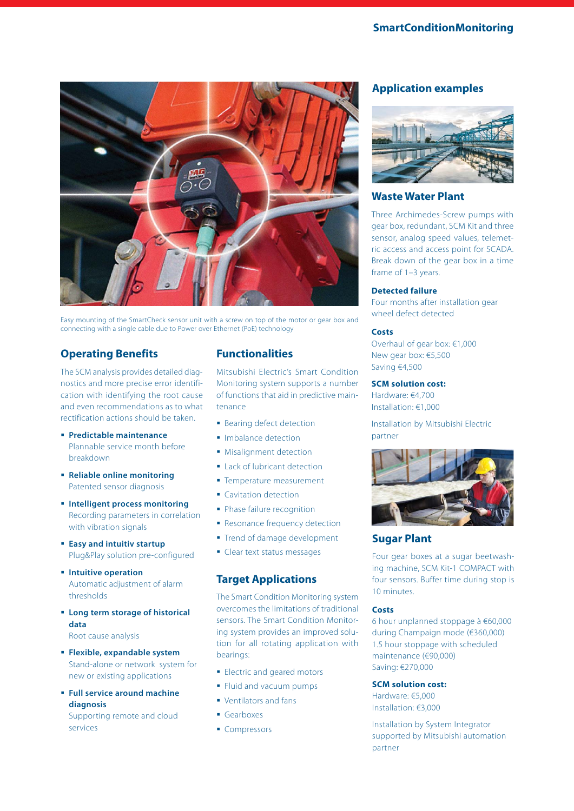

Easy mounting of the SmartCheck sensor unit with a screw on top of the motor or gear box and connecting with a single cable due to Power over Ethernet (PoE) technology

# **Operating Benefits**

The SCM analysis provides detailed diagnostics and more precise error identification with identifying the root cause and even recommendations as to what rectification actions should be taken.

- **Predictable maintenance**  Plannable service month before breakdown
- **Reliable online monitoring** Patented sensor diagnosis
- **Intelligent process monitoring**  Recording parameters in correlation with vibration signals
- **Easy and intuitiv startup** Plug&Play solution pre-configured
- **Intuitive operation** Automatic adjustment of alarm thresholds
- **Long term storage of historical data** Root cause analysis
- **Flexible, expandable system**  Stand-alone or network system for new or existing applications
- **Full service around machine diagnosis** Supporting remote and cloud services

# **Functionalities**

Mitsubishi Electric's Smart Condition Monitoring system supports a number of functions that aid in predictive maintenance

- **Bearing defect detection**
- **Imbalance detection**
- **Misalignment detection**
- **Lack of lubricant detection**
- **Temperature measurement**
- **Cavitation detection**
- Phase failure recognition
- **Resonance frequency detection**
- **Trend of damage development**
- Clear text status messages

# **Target Applications**

The Smart Condition Monitoring system overcomes the limitations of traditional sensors. The Smart Condition Monitoring system provides an improved solution for all rotating application with bearings:

- **Electric and geared motors**
- **Fluid and vacuum pumps**
- Ventilators and fans
- Gearboxes
- Compressors

# **Application examples**



#### **Waste Water Plant**

Three Archimedes-Screw pumps with gear box, redundant, SCM Kit and three sensor, analog speed values, telemetric access and access point for SCADA. Break down of the gear box in a time frame of 1–3 years.

#### **Detected failure**

Four months after installation gear wheel defect detected

#### **Costs**

Overhaul of gear box: €1,000 New gear box: €5,500 Saving €4,500

#### **SCM solution cost:**

Hardware: €4,700 Installation: €1,000

Installation by Mitsubishi Electric partner



## **Sugar Plant**

Four gear boxes at a sugar beetwashing machine, SCM Kit-1 COMPACT with four sensors. Buffer time during stop is 10 minutes.

#### **Costs**

6 hour unplanned stoppage à €60,000 during Champaign mode (€360,000) 1.5 hour stoppage with scheduled maintenance (€90,000) Saving: €270,000

#### **SCM solution cost:**

Hardware: €5,000 Installation: €3,000

Installation by System Integrator supported by Mitsubishi automation partner